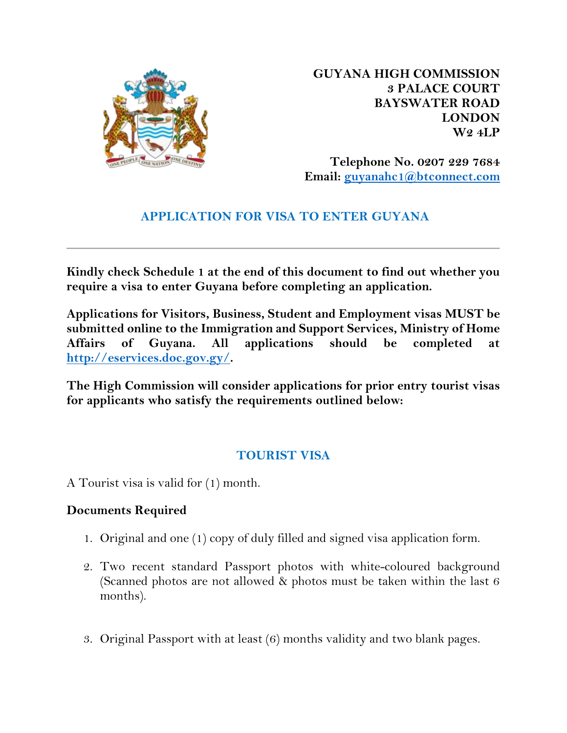

**GUYANA HIGH COMMISSION 3 PALACE COURT BAYSWATER ROAD LONDON W2 4LP**

**Telephone No. 0207 229 7684 Email: [guyanahc1@btconnect.com](mailto:guyanahc1@btconnect.com)**

## **APPLICATION FOR VISA TO ENTER GUYANA**

**Kindly check Schedule 1 at the end of this document to find out whether you require a visa to enter Guyana before completing an application.**

**Applications for Visitors, Business, Student and Employment visas MUST be submitted online to the Immigration and Support Services, Ministry of Home Affairs of Guyana. All applications should be completed at [http://eservices.doc.gov.gy/.](http://eservices.doc.gov.gy/)** 

**The High Commission will consider applications for prior entry tourist visas for applicants who satisfy the requirements outlined below:** 

## **TOURIST VISA**

A Tourist visa is valid for (1) month.

#### **Documents Required**

- 1. Original and one (1) copy of duly filled and signed visa application form.
- 2. Two recent standard Passport photos with white-coloured background (Scanned photos are not allowed & photos must be taken within the last 6 months).
- 3. Original Passport with at least (6) months validity and two blank pages.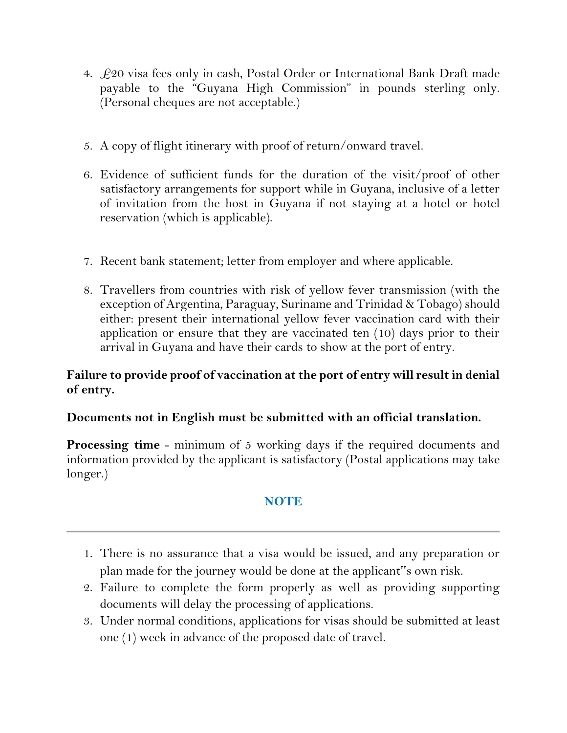- 4.  $\text{\textsterling}20$  visa fees only in cash, Postal Order or International Bank Draft made payable to the "Guyana High Commission" in pounds sterling only. (Personal cheques are not acceptable.)
- 5. A copy of flight itinerary with proof of return/onward travel.
- 6. Evidence of sufficient funds for the duration of the visit/proof of other satisfactory arrangements for support while in Guyana, inclusive of a letter of invitation from the host in Guyana if not staying at a hotel or hotel reservation (which is applicable).
- 7. Recent bank statement; letter from employer and where applicable.
- 8. Travellers from countries with risk of yellow fever transmission (with the exception of Argentina, Paraguay, Suriname and Trinidad & Tobago) should either: present their international yellow fever vaccination card with their application or ensure that they are vaccinated ten (10) days prior to their arrival in Guyana and have their cards to show at the port of entry.

### **Failure to provide proof of vaccination at the port of entry will result in denial of entry.**

#### **Documents not in English must be submitted with an official translation.**

**Processing time** - minimum of 5 working days if the required documents and information provided by the applicant is satisfactory (Postal applications may take longer.)

## **NOTE**

- 1. There is no assurance that a visa would be issued, and any preparation or plan made for the journey would be done at the applicant"s own risk.
- 2. Failure to complete the form properly as well as providing supporting documents will delay the processing of applications.
- 3. Under normal conditions, applications for visas should be submitted at least one (1) week in advance of the proposed date of travel.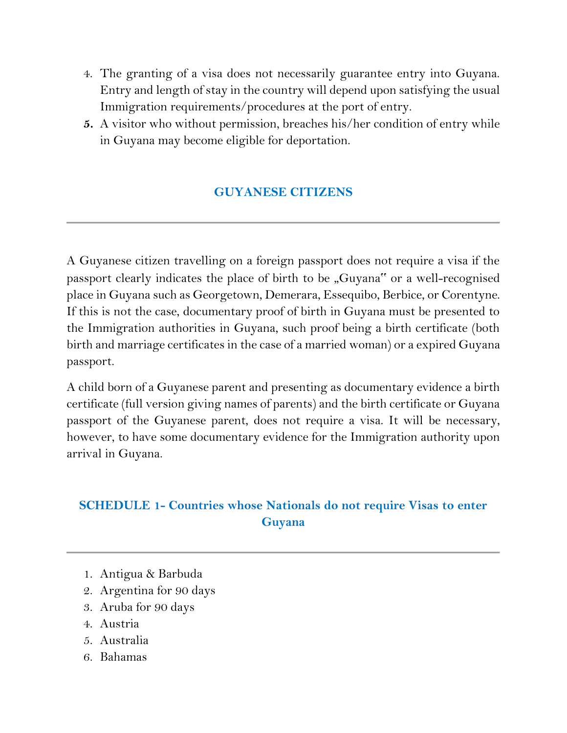- 4. The granting of a visa does not necessarily guarantee entry into Guyana. Entry and length of stay in the country will depend upon satisfying the usual Immigration requirements/procedures at the port of entry.
- **5.** A visitor who without permission, breaches his/her condition of entry while in Guyana may become eligible for deportation.

# **GUYANESE CITIZENS**

A Guyanese citizen travelling on a foreign passport does not require a visa if the passport clearly indicates the place of birth to be "Guyana" or a well-recognised place in Guyana such as Georgetown, Demerara, Essequibo, Berbice, or Corentyne. If this is not the case, documentary proof of birth in Guyana must be presented to the Immigration authorities in Guyana, such proof being a birth certificate (both birth and marriage certificates in the case of a married woman) or a expired Guyana passport.

A child born of a Guyanese parent and presenting as documentary evidence a birth certificate (full version giving names of parents) and the birth certificate or Guyana passport of the Guyanese parent, does not require a visa. It will be necessary, however, to have some documentary evidence for the Immigration authority upon arrival in Guyana.

## **SCHEDULE 1- Countries whose Nationals do not require Visas to enter Guyana**

- 1. Antigua & Barbuda
- 2. Argentina for 90 days
- 3. Aruba for 90 days
- 4. Austria
- 5. Australia
- 6. Bahamas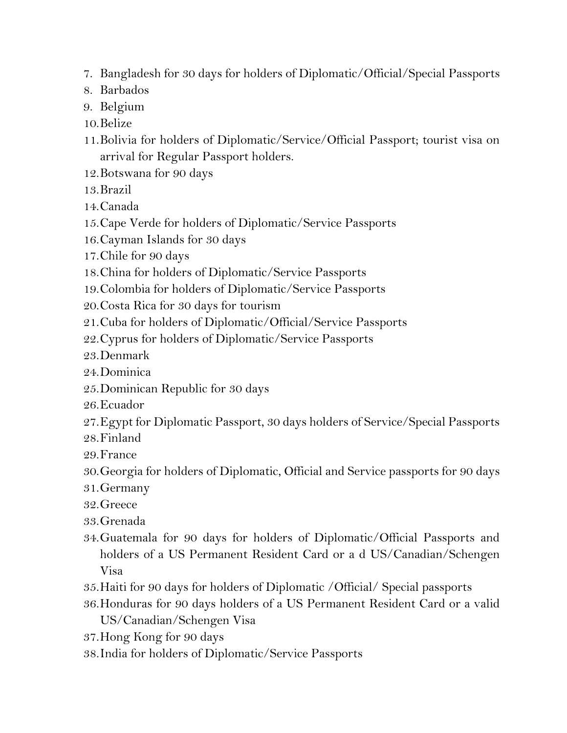- 7. Bangladesh for 30 days for holders of Diplomatic/Official/Special Passports
- 8. Barbados
- 9. Belgium
- 10.Belize
- 11.Bolivia for holders of Diplomatic/Service/Official Passport; tourist visa on arrival for Regular Passport holders.
- 12.Botswana for 90 days
- 13.Brazil
- 14.Canada
- 15.Cape Verde for holders of Diplomatic/Service Passports
- 16.Cayman Islands for 30 days
- 17.Chile for 90 days
- 18.China for holders of Diplomatic/Service Passports
- 19.Colombia for holders of Diplomatic/Service Passports
- 20.Costa Rica for 30 days for tourism
- 21.Cuba for holders of Diplomatic/Official/Service Passports
- 22.Cyprus for holders of Diplomatic/Service Passports
- 23.Denmark
- 24.Dominica
- 25.Dominican Republic for 30 days
- 26.Ecuador
- 27.Egypt for Diplomatic Passport, 30 days holders of Service/Special Passports
- 28.Finland
- 29.France
- 30.Georgia for holders of Diplomatic, Official and Service passports for 90 days
- 31.Germany
- 32.Greece
- 33.Grenada
- 34.Guatemala for 90 days for holders of Diplomatic/Official Passports and holders of a US Permanent Resident Card or a d US/Canadian/Schengen Visa
- 35.Haiti for 90 days for holders of Diplomatic /Official/ Special passports
- 36.Honduras for 90 days holders of a US Permanent Resident Card or a valid US/Canadian/Schengen Visa
- 37.Hong Kong for 90 days
- 38.India for holders of Diplomatic/Service Passports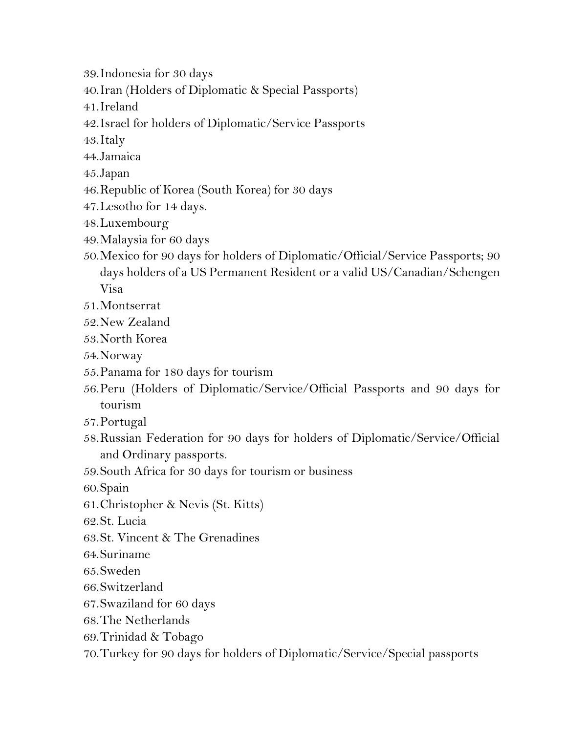- 39.Indonesia for 30 days
- 40.Iran (Holders of Diplomatic & Special Passports)
- 41.Ireland
- 42.Israel for holders of Diplomatic/Service Passports
- 43.Italy
- 44.Jamaica
- 45.Japan
- 46.Republic of Korea (South Korea) for 30 days
- 47.Lesotho for 14 days.
- 48.Luxembourg
- 49.Malaysia for 60 days
- 50.Mexico for 90 days for holders of Diplomatic/Official/Service Passports; 90 days holders of a US Permanent Resident or a valid US/Canadian/Schengen Visa
- 51.Montserrat
- 52.New Zealand
- 53.North Korea
- 54.Norway
- 55.Panama for 180 days for tourism
- 56.Peru (Holders of Diplomatic/Service/Official Passports and 90 days for tourism
- 57.Portugal
- 58.Russian Federation for 90 days for holders of Diplomatic/Service/Official and Ordinary passports.
- 59.South Africa for 30 days for tourism or business
- 60.Spain
- 61.Christopher & Nevis (St. Kitts)
- 62.St. Lucia
- 63.St. Vincent & The Grenadines
- 64.Suriname
- 65.Sweden
- 66.Switzerland
- 67.Swaziland for 60 days
- 68.The Netherlands
- 69.Trinidad & Tobago
- 70.Turkey for 90 days for holders of Diplomatic/Service/Special passports